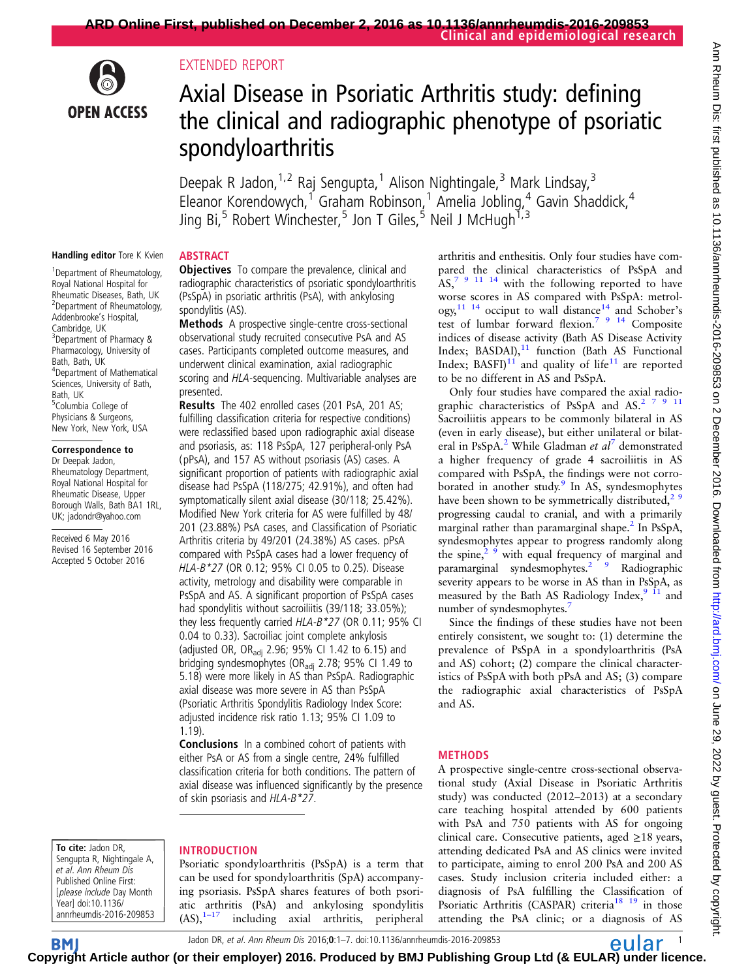# **OPEN ACCESS**

# EXTENDED REPORT

# Axial Disease in Psoriatic Arthritis study: defining the clinical and radiographic phenotype of psoriatic spondyloarthritis

Deepak R Jadon,  $1,2$  Raj Sengupta, <sup>1</sup> Alison Nightingale, <sup>3</sup> Mark Lindsay, <sup>3</sup> Eleanor Korendowych,<sup>1</sup> Graham Robinson,<sup>1</sup> Amelia Jobling,<sup>4</sup> Gavin Shaddick,<sup>4</sup> Jing Bi,<sup>5</sup> Robert Winchester,<sup>5</sup> Jon T Giles,<sup>5</sup> Neil J McHugh<sup>1,3</sup>

#### Handling editor Tore K Kvien

<sup>1</sup> Department of Rheumatology, Royal National Hospital for Rheumatic Diseases, Bath, UK 2 Department of Rheumatology, Addenbrooke's Hospital, Cambridge, UK 3 Department of Pharmacy & Pharmacology, University of Bath, Bath, UK 4 Department of Mathematical Sciences, University of Bath, Bath, UK 5 Columbia College of Physicians & Surgeons, New York, New York, USA

# Correspondence to

Dr Deepak Jadon, Rheumatology Department, Royal National Hospital for Rheumatic Disease, Upper Borough Walls, Bath BA1 1RL, UK; jadondr@yahoo.com

Received 6 May 2016 Revised 16 September 2016 Accepted 5 October 2016

# **ABSTRACT**

**Objectives** To compare the prevalence, clinical and radiographic characteristics of psoriatic spondyloarthritis (PsSpA) in psoriatic arthritis (PsA), with ankylosing spondylitis (AS).

Methods A prospective single-centre cross-sectional observational study recruited consecutive PsA and AS cases. Participants completed outcome measures, and underwent clinical examination, axial radiographic scoring and HLA-sequencing. Multivariable analyses are presented.

Results The 402 enrolled cases (201 PsA, 201 AS; fulfilling classification criteria for respective conditions) were reclassified based upon radiographic axial disease and psoriasis, as: 118 PsSpA, 127 peripheral-only PsA (pPsA), and 157 AS without psoriasis (AS) cases. A significant proportion of patients with radiographic axial disease had PsSpA (118/275; 42.91%), and often had symptomatically silent axial disease (30/118; 25.42%). Modified New York criteria for AS were fulfilled by 48/ 201 (23.88%) PsA cases, and Classification of Psoriatic Arthritis criteria by 49/201 (24.38%) AS cases. pPsA compared with PsSpA cases had a lower frequency of HLA-B\*27 (OR 0.12; 95% CI 0.05 to 0.25). Disease activity, metrology and disability were comparable in PsSpA and AS. A significant proportion of PsSpA cases had spondylitis without sacroiliitis (39/118; 33.05%); they less frequently carried HLA-B\*27 (OR 0.11; 95% CI 0.04 to 0.33). Sacroiliac joint complete ankylosis (adjusted OR, OR<sub>adj</sub> 2.96; 95% CI 1.42 to 6.15) and bridging syndesmophytes (OR<sub>adj</sub> 2.78; 95% CI 1.49 to 5.18) were more likely in AS than PsSpA. Radiographic axial disease was more severe in AS than PsSpA (Psoriatic Arthritis Spondylitis Radiology Index Score: adjusted incidence risk ratio 1.13; 95% CI 1.09 to 1.19).

Conclusions In a combined cohort of patients with either PsA or AS from a single centre, 24% fulfilled classification criteria for both conditions. The pattern of axial disease was influenced significantly by the presence of skin psoriasis and HLA-B\*27.

To cite: Jadon DR, Sengupta R, Nightingale A, et al. Ann Rheum Dis Published Online First: [please include Day Month Year] doi:10.1136/ annrheumdis-2016-209853

# INTRODUCTION

Psoriatic spondyloarthritis (PsSpA) is a term that can be used for spondyloarthritis (SpA) accompanying psoriasis. PsSpA shares features of both psoriatic arthritis (PsA) and ankylosing spondylitis  $(AS),^{1-17}$  including axial arthritis, peripheral including axial arthritis, peripheral arthritis and enthesitis. Only four studies have compared the clinical characteristics of PsSpA and  $AS<sub>1</sub>$ <sup>7</sup> <sup>9</sup> <sup>11</sup> <sup>14</sup> with the following reported to have worse scores in AS compared with PsSpA: metrol- $\log y$ <sup>[11 14](#page-6-0)</sup> occiput to wall distance<sup>[14](#page-6-0)</sup> and Schober's test of lumbar forward flexion.<sup>7</sup> 9 <sup>14</sup> Composite indices of disease activity (Bath AS Disease Activity Index; BASDAI), $11$  function (Bath AS Functional Index;  $BASTJ<sup>11</sup>$  $BASTJ<sup>11</sup>$  $BASTJ<sup>11</sup>$  and quality of life<sup>11</sup> are reported to be no different in AS and PsSpA.

Only four studies have compared the axial radio-graphic characteristics of PsSpA and AS.<sup>[2 7 9](#page-5-0) [11](#page-6-0)</sup> Sacroiliitis appears to be commonly bilateral in AS (even in early disease), but either unilateral or bilat-eral in PsSpA.<sup>[2](#page-5-0)</sup> While Gladman et  $al^7$  $al^7$  demonstrated a higher frequency of grade 4 sacroiliitis in AS compared with PsSpA, the findings were not corro-borated in another study.<sup>[9](#page-5-0)</sup> In AS, syndesmophytes have been shown to be symmetrically distributed,<sup>2</sup><sup>9</sup> progressing caudal to cranial, and with a primarily marginal rather than paramarginal shape.<sup>2</sup> In PsSpA, syndesmophytes appear to progress randomly along the spine, $\frac{2}{9}$  with equal frequency of marginal and paramarginal syndesmophytes.<sup>2</sup> 9 Radiographic severity appears to be worse in AS than in PsSpA, as measured by the Bath AS Radiology Index, $9\text{ ft}$  and number of syndesmophytes.<sup>7</sup>

Since the findings of these studies have not been entirely consistent, we sought to: (1) determine the prevalence of PsSpA in a spondyloarthritis (PsA and AS) cohort; (2) compare the clinical characteristics of PsSpA with both pPsA and AS; (3) compare the radiographic axial characteristics of PsSpA and AS.

# METHODS

A prospective single-centre cross-sectional observational study (Axial Disease in Psoriatic Arthritis study) was conducted (2012–2013) at a secondary care teaching hospital attended by 600 patients with PsA and 750 patients with AS for ongoing clinical care. Consecutive patients, aged  $\geq$ 18 years, attending dedicated PsA and AS clinics were invited to participate, aiming to enrol 200 PsA and 200 AS cases. Study inclusion criteria included either: a diagnosis of PsA fulfilling the Classification of Psoriatic Arthritis (CASPAR) criteria<sup>18</sup> <sup>19</sup> in those attending the PsA clinic; or a diagnosis of AS

Jadon DR, et al. Ann Rheum Dis 2016;0:1–7. doi:10.1136/annrheumdis-2016-209853 **12 CLL BL** 

**BM Cop[yrigh](http://ard.bmj.com)t Article author (or their employer) 2016. Produced by BMJ Publishing Group Ltd (& EULAR) under licence.**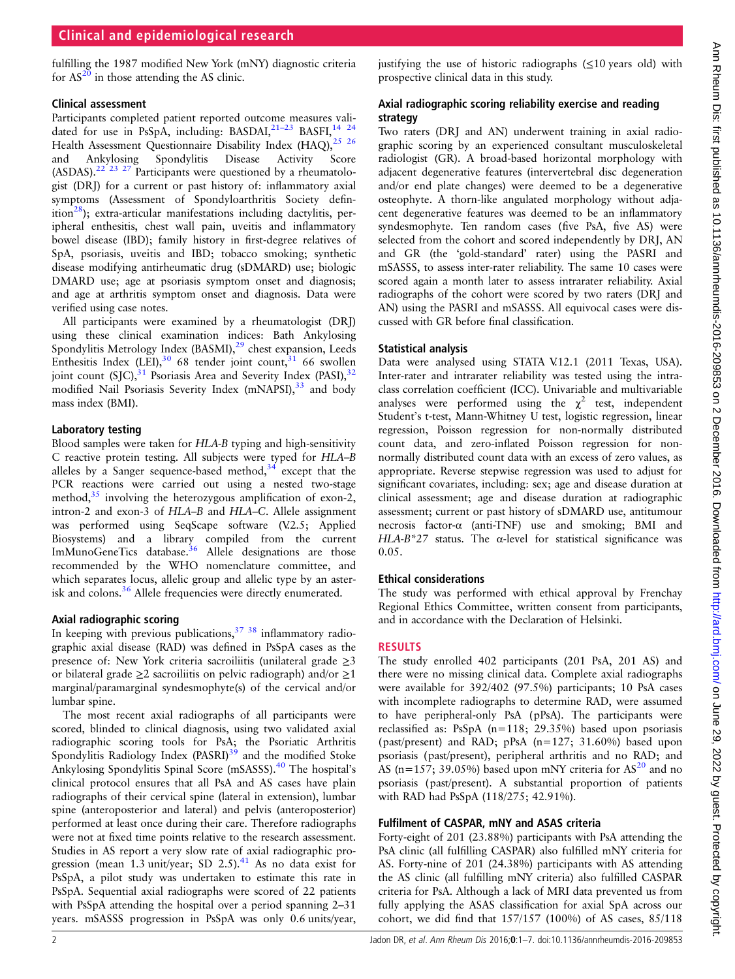# Clinical and epidemiological research

fulfilling the 1987 modified New York (mNY) diagnostic criteria for  $AS^{20}$  $AS^{20}$  $AS^{20}$  in those attending the AS clinic.

#### Clinical assessment

Participants completed patient reported outcome measures validated for use in PsSpA, including: BASDAI, $^{21-23}$  $^{21-23}$  $^{21-23}$  BASFI, $^{14}$   $^{24}$ Health Assessment Questionnaire Disability Index (HAQ), $25\frac{26}{5}$ and Ankylosing Spondylitis Disease Activity Score (ASDAS).<sup>[22 23 27](#page-6-0)</sup> Participants were questioned by a rheumatologist (DRJ) for a current or past history of: inflammatory axial symptoms (Assessment of Spondyloarthritis Society defin-ition<sup>[28](#page-6-0)</sup>); extra-articular manifestations including dactylitis, peripheral enthesitis, chest wall pain, uveitis and inflammatory bowel disease (IBD); family history in first-degree relatives of SpA, psoriasis, uveitis and IBD; tobacco smoking; synthetic disease modifying antirheumatic drug (sDMARD) use; biologic DMARD use; age at psoriasis symptom onset and diagnosis; and age at arthritis symptom onset and diagnosis. Data were verified using case notes.

All participants were examined by a rheumatologist (DRJ) using these clinical examination indices: Bath Ankylosing Spondylitis Metrology Index (BASMI),<sup>[29](#page-6-0)</sup> chest expansion, Leeds Enthesitis Index (LEI),  $30\,68$  tender joint count,  $31\,66$  $31\,66$  swollen joint count (SJC),<sup>[31](#page-6-0)</sup> Psoriasis Area and Severity Index (PASI),<sup>32</sup> modified Nail Psoriasis Severity Index (mNAPSI),<sup>[33](#page-6-0)</sup> and body mass index (BMI).

#### Laboratory testing

Blood samples were taken for HLA-B typing and high-sensitivity C reactive protein testing. All subjects were typed for HLA–B alleles by a Sanger sequence-based method,  $34$  except that the PCR reactions were carried out using a nested two-stage method, $35$  involving the heterozygous amplification of exon-2, intron-2 and exon-3 of HLA–B and HLA–C. Allele assignment was performed using SeqScape software (V.2.5; Applied Biosystems) and a library compiled from the current ImMunoGeneTics database.<sup>[36](#page-6-0)</sup> Allele designations are those recommended by the WHO nomenclature committee, and which separates locus, allelic group and allelic type by an asterisk and colons.[36](#page-6-0) Allele frequencies were directly enumerated.

#### Axial radiographic scoring

In keeping with previous publications,<sup>37</sup> 38</sup> inflammatory radiographic axial disease (RAD) was defined in PsSpA cases as the presence of: New York criteria sacroiliitis (unilateral grade  $\geq$ 3 or bilateral grade ≥2 sacroiliitis on pelvic radiograph) and/or ≥1 marginal/paramarginal syndesmophyte(s) of the cervical and/or lumbar spine.

The most recent axial radiographs of all participants were scored, blinded to clinical diagnosis, using two validated axial radiographic scoring tools for PsA; the Psoriatic Arthritis Spondylitis Radiology Index (PASRI)<sup>[39](#page-6-0)</sup> and the modified Stoke Ankylosing Spondylitis Spinal Score (mSASSS).<sup>[40](#page-6-0)</sup> The hospital's clinical protocol ensures that all PsA and AS cases have plain radiographs of their cervical spine (lateral in extension), lumbar spine (anteroposterior and lateral) and pelvis (anteroposterior) performed at least once during their care. Therefore radiographs were not at fixed time points relative to the research assessment. Studies in AS report a very slow rate of axial radiographic pro-gression (mean 1.3 unit/year; SD 2.5).<sup>[41](#page-6-0)</sup> As no data exist for PsSpA, a pilot study was undertaken to estimate this rate in PsSpA. Sequential axial radiographs were scored of 22 patients with PsSpA attending the hospital over a period spanning 2–31 years. mSASSS progression in PsSpA was only 0.6 units/year, justifying the use of historic radiographs  $(\leq 10 \text{ years}$  old) with prospective clinical data in this study.

#### Axial radiographic scoring reliability exercise and reading strategy

Two raters (DRJ and AN) underwent training in axial radiographic scoring by an experienced consultant musculoskeletal radiologist (GR). A broad-based horizontal morphology with adjacent degenerative features (intervertebral disc degeneration and/or end plate changes) were deemed to be a degenerative osteophyte. A thorn-like angulated morphology without adjacent degenerative features was deemed to be an inflammatory syndesmophyte. Ten random cases (five PsA, five AS) were selected from the cohort and scored independently by DRJ, AN and GR (the 'gold-standard' rater) using the PASRI and mSASSS, to assess inter-rater reliability. The same 10 cases were scored again a month later to assess intrarater reliability. Axial radiographs of the cohort were scored by two raters (DRJ and AN) using the PASRI and mSASSS. All equivocal cases were discussed with GR before final classification.

#### Statistical analysis

Data were analysed using STATA V.12.1 (2011 Texas, USA). Inter-rater and intrarater reliability was tested using the intraclass correlation coefficient (ICC). Univariable and multivariable analyses were performed using the  $\chi^2$  test, independent Student's t-test, Mann-Whitney U test, logistic regression, linear regression, Poisson regression for non-normally distributed count data, and zero-inflated Poisson regression for nonnormally distributed count data with an excess of zero values, as appropriate. Reverse stepwise regression was used to adjust for significant covariates, including: sex; age and disease duration at clinical assessment; age and disease duration at radiographic assessment; current or past history of sDMARD use, antitumour necrosis factor-α (anti-TNF) use and smoking; BMI and HLA-B\*27 status. The  $\alpha$ -level for statistical significance was 0.05.

#### Ethical considerations

The study was performed with ethical approval by Frenchay Regional Ethics Committee, written consent from participants, and in accordance with the Declaration of Helsinki.

#### RESULTS

The study enrolled 402 participants (201 PsA, 201 AS) and there were no missing clinical data. Complete axial radiographs were available for 392/402 (97.5%) participants; 10 PsA cases with incomplete radiographs to determine RAD, were assumed to have peripheral-only PsA (pPsA). The participants were reclassified as: PsSpA (n=118; 29.35%) based upon psoriasis (past/present) and RAD; pPsA (n=127; 31.60%) based upon psoriasis (past/present), peripheral arthritis and no RAD; and AS (n=157; 39.05%) based upon mNY criteria for  $AS^{20}$  and no psoriasis (past/present). A substantial proportion of patients with RAD had PsSpA (118/275; 42.91%).

#### Fulfilment of CASPAR, mNY and ASAS criteria

Forty-eight of 201 (23.88%) participants with PsA attending the PsA clinic (all fulfilling CASPAR) also fulfilled mNY criteria for AS. Forty-nine of 201 (24.38%) participants with AS attending the AS clinic (all fulfilling mNY criteria) also fulfilled CASPAR criteria for PsA. Although a lack of MRI data prevented us from fully applying the ASAS classification for axial SpA across our cohort, we did find that 157/157 (100%) of AS cases, 85/118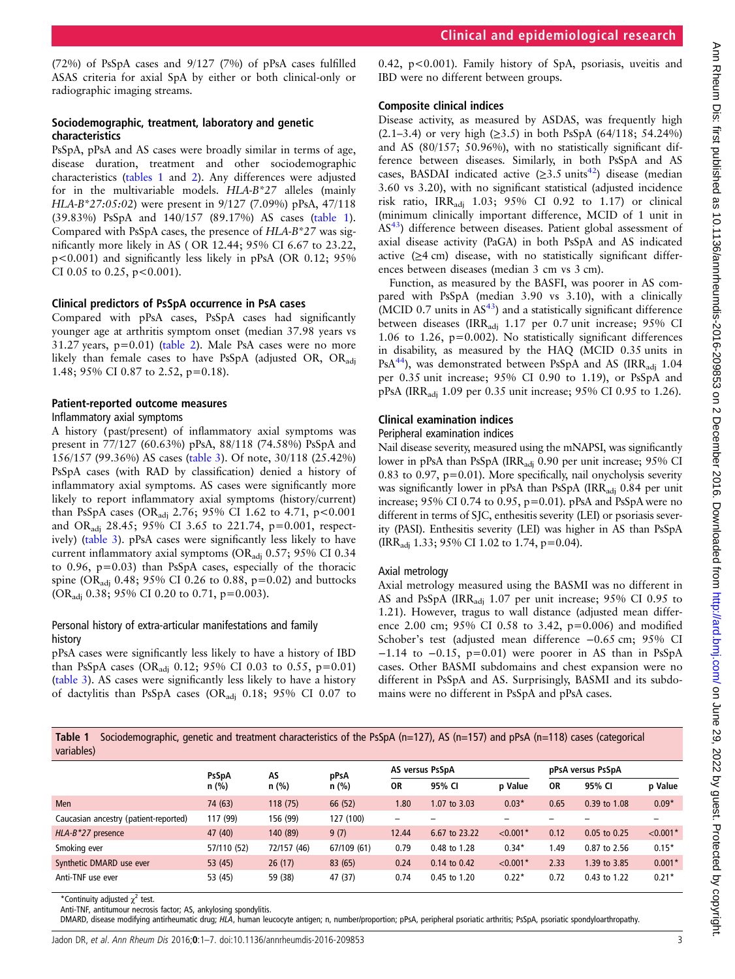(72%) of PsSpA cases and 9/127 (7%) of pPsA cases fulfilled ASAS criteria for axial SpA by either or both clinical-only or radiographic imaging streams.

#### Sociodemographic, treatment, laboratory and genetic characteristics

PsSpA, pPsA and AS cases were broadly similar in terms of age, disease duration, treatment and other sociodemographic characteristics (tables 1 and [2](#page-3-0)). Any differences were adjusted for in the multivariable models. HLA-B\*27 alleles (mainly HLA-B\*27:05:02) were present in 9/127 (7.09%) pPsA, 47/118 (39.83%) PsSpA and 140/157 (89.17%) AS cases (table 1). Compared with PsSpA cases, the presence of HLA-B\*27 was significantly more likely in AS ( OR 12.44; 95% CI 6.67 to 23.22, p<0.001) and significantly less likely in pPsA (OR 0.12; 95% CI 0.05 to 0.25,  $p < 0.001$ ).

#### Clinical predictors of PsSpA occurrence in PsA cases

Compared with pPsA cases, PsSpA cases had significantly younger age at arthritis symptom onset (median 37.98 years vs  $31.27$  years,  $p=0.01$ ) ([table 2](#page-3-0)). Male PsA cases were no more likely than female cases to have PsSpA (adjusted OR, OR<sub>adi</sub> 1.48; 95% CI 0.87 to 2.52, p=0.18).

#### Patient-reported outcome measures

#### Inflammatory axial symptoms

A history (past/present) of inflammatory axial symptoms was present in 77/127 (60.63%) pPsA, 88/118 (74.58%) PsSpA and 156/157 (99.36%) AS cases [\(table 3](#page-3-0)). Of note, 30/118 (25.42%) PsSpA cases (with RAD by classification) denied a history of inflammatory axial symptoms. AS cases were significantly more likely to report inflammatory axial symptoms (history/current) than PsSpA cases (OR<sub>adj</sub> 2.76; 95% CI 1.62 to 4.71, p<0.001 and ORadj 28.45; 95% CI 3.65 to 221.74, p=0.001, respectively) ([table 3\)](#page-3-0). pPsA cases were significantly less likely to have current inflammatory axial symptoms (OR<sub>adj</sub> 0.57; 95% CI 0.34 to 0.96, p=0.03) than PsSpA cases, especially of the thoracic spine (OR<sub>adi</sub> 0.48; 95% CI 0.26 to 0.88, p=0.02) and buttocks (OR<sub>adj</sub> 0.38; 95% CI 0.20 to 0.71, p=0.003).

#### Personal history of extra-articular manifestations and family history

pPsA cases were significantly less likely to have a history of IBD than PsSpA cases (OR<sub>adj</sub> 0.12; 95% CI 0.03 to 0.55, p=0.01) ([table 3](#page-3-0)). AS cases were significantly less likely to have a history of dactylitis than PsSpA cases (ORadj 0.18; 95% CI 0.07 to

0.42, p<0.001). Family history of SpA, psoriasis, uveitis and IBD were no different between groups.

#### Composite clinical indices

Disease activity, as measured by ASDAS, was frequently high  $(2.1-3.4)$  or very high  $(≥3.5)$  in both PsSpA  $(64/118; 54.24%)$ and AS (80/157; 50.96%), with no statistically significant difference between diseases. Similarly, in both PsSpA and AS cases, BASDAI indicated active  $(\geq 3.5 \text{ units}^{42})$  disease (median 3.60 vs 3.20), with no significant statistical (adjusted incidence risk ratio, IRRadj 1.03; 95% CI 0.92 to 1.17) or clinical (minimum clinically important difference, MCID of 1 unit in AS<sup>43</sup>) difference between diseases. Patient global assessment of axial disease activity (PaGA) in both PsSpA and AS indicated active (≥4 cm) disease, with no statistically significant differences between diseases (median 3 cm vs 3 cm).

Function, as measured by the BASFI, was poorer in AS compared with PsSpA (median 3.90 vs 3.10), with a clinically (MCID 0.7 units in  $AS<sup>43</sup>$ ) and a statistically significant difference between diseases (IRR<sub>adj</sub> 1.17 per 0.7 unit increase; 95% CI 1.06 to 1.26, p=0.002). No statistically significant differences in disability, as measured by the HAQ (MCID 0.35 units in PsA $^{44}$  $^{44}$  $^{44}$ ), was demonstrated between PsSpA and AS (IRR<sub>adi</sub> 1.04 per 0.35 unit increase; 95% CI 0.90 to 1.19), or PsSpA and pPsA (IRRadj 1.09 per 0.35 unit increase; 95% CI 0.95 to 1.26).

#### Clinical examination indices

#### Peripheral examination indices

Nail disease severity, measured using the mNAPSI, was significantly lower in pPsA than PsSpA (IRR<sub>adi</sub> 0.90 per unit increase; 95% CI 0.83 to 0.97, p=0.01). More specifically, nail onycholysis severity was significantly lower in pPsA than PsSpA (IRR<sub>adi</sub>  $0.84$  per unit increase;  $95\%$  CI 0.74 to 0.95,  $p=0.01$ ).  $pPsA$  and  $PsSpA$  were no different in terms of SJC, enthesitis severity (LEI) or psoriasis severity (PASI). Enthesitis severity (LEI) was higher in AS than PsSpA (IRRadj 1.33; 95% CI 1.02 to 1.74, p=0.04).

#### Axial metrology

Axial metrology measured using the BASMI was no different in AS and PsSpA (IRR<sub>adi</sub> 1.07 per unit increase; 95% CI 0.95 to 1.21). However, tragus to wall distance (adjusted mean difference 2.00 cm; 95% CI 0.58 to 3.42, p=0.006) and modified Schober's test (adjusted mean difference −0.65 cm; 95% CI −1.14 to −0.15, p=0.01) were poorer in AS than in PsSpA cases. Other BASMI subdomains and chest expansion were no different in PsSpA and AS. Surprisingly, BASMI and its subdomains were no different in PsSpA and pPsA cases.

Table 1 Sociodemographic, genetic and treatment characteristics of the PsSpA (n=127), AS (n=157) and pPsA (n=118) cases (categorical variables)

|                                       | AS<br><b>PsSpA</b><br>$n$ (%) |             | pPsA        | AS versus PsSpA |               |            | pPsA versus PsSpA |                  |            |
|---------------------------------------|-------------------------------|-------------|-------------|-----------------|---------------|------------|-------------------|------------------|------------|
|                                       |                               | n(%)        | $n$ (%)     | <b>OR</b>       | 95% CI        | p Value    | <b>OR</b>         | 95% CI           | p Value    |
| <b>Men</b>                            | 74 (63)                       | 118(75)     | 66 (52)     | 1.80            | 1.07 to 3.03  | $0.03*$    | 0.65              | 0.39 to 1.08     | $0.09*$    |
| Caucasian ancestry (patient-reported) | 117 (99)                      | 156 (99)    | 127 (100)   |                 |               |            |                   |                  |            |
| $HLA-B*27$ presence                   | 47 (40)                       | 140 (89)    | 9(7)        | 12.44           | 6.67 to 23.22 | $< 0.001*$ | 0.12              | $0.05$ to $0.25$ | $< 0.001*$ |
| Smoking ever                          | 57/110 (52)                   | 72/157 (46) | 67/109 (61) | 0.79            | 0.48 to 1.28  | $0.34*$    | 49. ا             | 0.87 to 2.56     | $0.15*$    |
| Synthetic DMARD use ever              | 53(45)                        | 26(17)      | 83 (65)     | 0.24            | 0.14 to 0.42  | $< 0.001*$ | 2.33              | 1.39 to 3.85     | $0.001*$   |
| Anti-TNF use ever                     | 53 (45)                       | 59 (38)     | 47 (37)     | 0.74            | 0.45 to 1.20  | $0.22*$    | 0.72              | 0.43 to 1.22     | $0.21*$    |

\*Continuity adjusted  $\chi^2$  test.

Anti-TNF, antitumour necrosis factor; AS, ankylosing spondylitis.

DMARD, disease modifying antirheumatic drug; HLA, human leucocyte antigen; n, number/proportion; pPsA, peripheral psoriatic arthritis; PsSpA, psoriatic spondyloarthropathy.

Jadon DR, et al. Ann Rheum Dis 2016;0:1-7. doi:10.1136/annrheumdis-2016-209853 3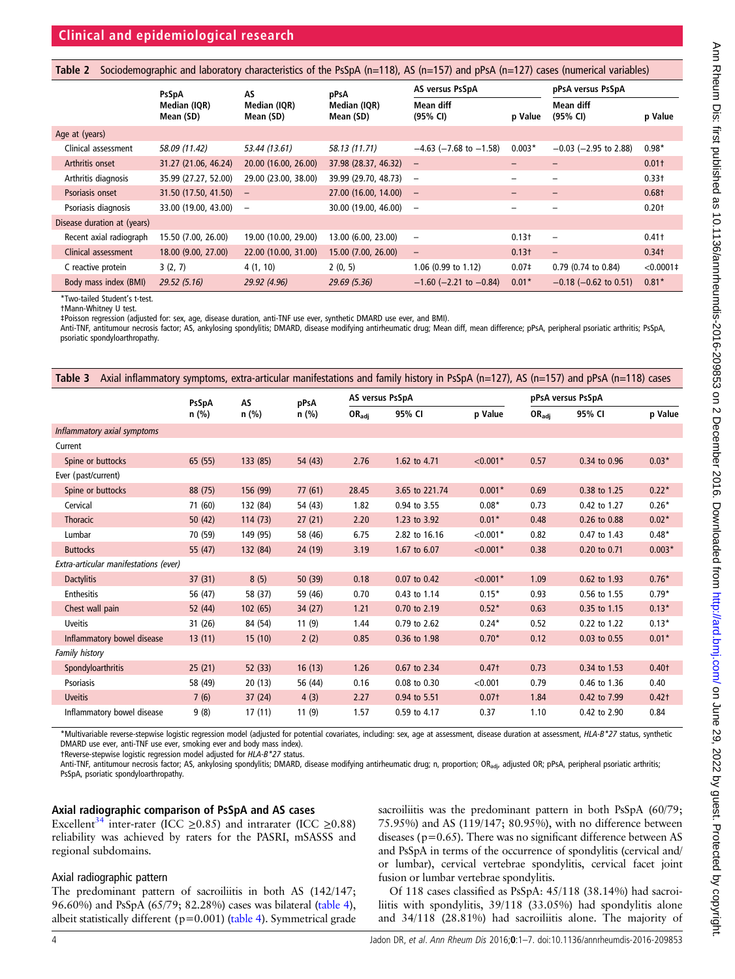<span id="page-3-0"></span>

|  | Table 2 Sociodemographic and laboratory characteristics of the PsSpA (n=118), AS (n=157) and pPsA (n=127) cases (numerical variables) |  |  |  |  |
|--|---------------------------------------------------------------------------------------------------------------------------------------|--|--|--|--|
|--|---------------------------------------------------------------------------------------------------------------------------------------|--|--|--|--|

|                             | PsSpA                     | AS                        | pPsA                      | AS versus PsSpA                |                   | pPsA versus PsSpA          |                   |
|-----------------------------|---------------------------|---------------------------|---------------------------|--------------------------------|-------------------|----------------------------|-------------------|
|                             | Median (IQR)<br>Mean (SD) | Median (IQR)<br>Mean (SD) | Median (IQR)<br>Mean (SD) | Mean diff<br>(95% CI)          | p Value           | Mean diff<br>(95% CI)      | p Value           |
| Age at (years)              |                           |                           |                           |                                |                   |                            |                   |
| Clinical assessment         | 58.09 (11.42)             | 53.44 (13.61)             | 58.13 (11.71)             | $-4.63$ ( $-7.68$ to $-1.58$ ) | $0.003*$          | $-0.03$ ( $-2.95$ to 2.88) | $0.98*$           |
| Arthritis onset             | 31.27 (21.06, 46.24)      | 20.00 (16.00, 26.00)      | 37.98 (28.37, 46.32)      | $\overline{\phantom{m}}$       |                   |                            | $0.01+$           |
| Arthritis diagnosis         | 35.99 (27.27, 52.00)      | 29.00 (23.00, 38.00)      | 39.99 (29.70, 48.73)      | $\overline{\phantom{m}}$       |                   |                            | 0.33 <sup>†</sup> |
| Psoriasis onset             | 31.50 (17.50, 41.50)      | $\qquad \qquad -$         | 27.00 (16.00, 14.00)      | $\overline{\phantom{m}}$       |                   | $\qquad \qquad -$          | $0.68+$           |
| Psoriasis diagnosis         | 33.00 (19.00, 43.00)      | $\qquad \qquad$           | 30.00 (19.00, 46.00)      | $\overline{\phantom{m}}$       |                   |                            | $0.20+$           |
| Disease duration at (years) |                           |                           |                           |                                |                   |                            |                   |
| Recent axial radiograph     | 15.50 (7.00, 26.00)       | 19.00 (10.00, 29.00)      | 13.00 (6.00, 23.00)       | $\qquad \qquad -$              | $0.13+$           | $\overline{\phantom{0}}$   | 0.41 <sup>†</sup> |
| Clinical assessment         | 18.00 (9.00, 27.00)       | 22.00 (10.00, 31.00)      | 15.00 (7.00, 26.00)       | $\overline{\phantom{m}}$       | $0.13+$           | $\qquad \qquad -$          | $0.34+$           |
| C reactive protein          | 3(2, 7)                   | 4(1, 10)                  | 2(0, 5)                   | 1.06 (0.99 to 1.12)            | 0.07 <sup>‡</sup> | $0.79$ (0.74 to 0.84)      | $< 0.0001 \pm$    |
| Body mass index (BMI)       | 29.52(5.16)               | 29.92 (4.96)              | 29.69(5.36)               | $-1.60$ ( $-2.21$ to $-0.84$ ) | $0.01*$           | $-0.18$ ( $-0.62$ to 0.51) | $0.81*$           |

\*Two-tailed Student's t-test.

†Mann-Whitney U test.

‡Poisson regression (adjusted for: sex, age, disease duration, anti-TNF use ever, synthetic DMARD use ever, and BMI).

Anti-TNF, antitumour necrosis factor; AS, ankylosing spondylitis; DMARD, disease modifying antirheumatic drug; Mean diff, mean difference; pPsA, peripheral psoriatic arthritis; PsSpA, psoriatic spondyloarthropathy.

| Table 3                               |              |          |         |                   | Axial inflammatory symptoms, extra-articular manifestations and family history in PsSpA ( $n=127$ ), AS ( $n=157$ ) and pPsA ( $n=118$ ) cases |                   |                            |                   |                   |  |
|---------------------------------------|--------------|----------|---------|-------------------|------------------------------------------------------------------------------------------------------------------------------------------------|-------------------|----------------------------|-------------------|-------------------|--|
|                                       | <b>PsSpA</b> | AS       | pPsA    |                   | AS versus PsSpA                                                                                                                                |                   |                            | pPsA versus PsSpA |                   |  |
|                                       | $n$ (%)      | n (%)    | $n$ (%) | $OR_{\text{adj}}$ | 95% CI                                                                                                                                         | p Value           | $\mathsf{OR}_\mathsf{adj}$ | 95% CI            | p Value           |  |
| Inflammatory axial symptoms           |              |          |         |                   |                                                                                                                                                |                   |                            |                   |                   |  |
| Current                               |              |          |         |                   |                                                                                                                                                |                   |                            |                   |                   |  |
| Spine or buttocks                     | 65(55)       | 133 (85) | 54 (43) | 2.76              | 1.62 to 4.71                                                                                                                                   | $< 0.001*$        | 0.57                       | 0.34 to 0.96      | $0.03*$           |  |
| Ever (past/current)                   |              |          |         |                   |                                                                                                                                                |                   |                            |                   |                   |  |
| Spine or buttocks                     | 88 (75)      | 156 (99) | 77(61)  | 28.45             | 3.65 to 221.74                                                                                                                                 | $0.001*$          | 0.69                       | 0.38 to 1.25      | $0.22*$           |  |
| Cervical                              | 71 (60)      | 132 (84) | 54 (43) | 1.82              | 0.94 to 3.55                                                                                                                                   | $0.08*$           | 0.73                       | 0.42 to 1.27      | $0.26*$           |  |
| <b>Thoracic</b>                       | 50(42)       | 114(73)  | 27(21)  | 2.20              | 1.23 to 3.92                                                                                                                                   | $0.01*$           | 0.48                       | 0.26 to 0.88      | $0.02*$           |  |
| Lumbar                                | 70 (59)      | 149 (95) | 58 (46) | 6.75              | 2.82 to 16.16                                                                                                                                  | $< 0.001*$        | 0.82                       | 0.47 to 1.43      | $0.48*$           |  |
| <b>Buttocks</b>                       | 55 (47)      | 132 (84) | 24 (19) | 3.19              | 1.67 to 6.07                                                                                                                                   | $< 0.001*$        | 0.38                       | 0.20 to 0.71      | $0.003*$          |  |
| Extra-articular manifestations (ever) |              |          |         |                   |                                                                                                                                                |                   |                            |                   |                   |  |
| <b>Dactylitis</b>                     | 37(31)       | 8(5)     | 50(39)  | 0.18              | 0.07 to 0.42                                                                                                                                   | $< 0.001*$        | 1.09                       | 0.62 to 1.93      | $0.76*$           |  |
| <b>Enthesitis</b>                     | 56 (47)      | 58 (37)  | 59 (46) | 0.70              | 0.43 to 1.14                                                                                                                                   | $0.15*$           | 0.93                       | 0.56 to 1.55      | $0.79*$           |  |
| Chest wall pain                       | 52 (44)      | 102(65)  | 34(27)  | 1.21              | 0.70 to 2.19                                                                                                                                   | $0.52*$           | 0.63                       | 0.35 to 1.15      | $0.13*$           |  |
| <b>Uveitis</b>                        | 31 (26)      | 84 (54)  | 11(9)   | 1.44              | 0.79 to 2.62                                                                                                                                   | $0.24*$           | 0.52                       | 0.22 to 1.22      | $0.13*$           |  |
| Inflammatory bowel disease            | 13(11)       | 15(10)   | 2(2)    | 0.85              | 0.36 to 1.98                                                                                                                                   | $0.70*$           | 0.12                       | 0.03 to 0.55      | $0.01*$           |  |
| <b>Family history</b>                 |              |          |         |                   |                                                                                                                                                |                   |                            |                   |                   |  |
| Spondyloarthritis                     | 25(21)       | 52(33)   | 16(13)  | 1.26              | 0.67 to 2.34                                                                                                                                   | 0.47 <sub>†</sub> | 0.73                       | 0.34 to 1.53      | 0.40 <sub>†</sub> |  |
| <b>Psoriasis</b>                      | 58 (49)      | 20(13)   | 56 (44) | 0.16              | 0.08 to 0.30                                                                                                                                   | < 0.001           | 0.79                       | 0.46 to 1.36      | 0.40              |  |
| <b>Uveitis</b>                        | 7(6)         | 37(24)   | 4(3)    | 2.27              | 0.94 to 5.51                                                                                                                                   | $0.07+$           | 1.84                       | 0.42 to 7.99      | 0.42 <sub>†</sub> |  |
| Inflammatory bowel disease            | 9(8)         | 17(11)   | 11(9)   | 1.57              | 0.59 to 4.17                                                                                                                                   | 0.37              | 1.10                       | 0.42 to 2.90      | 0.84              |  |

\*Multivariable reverse-stepwise logistic regression model (adjusted for potential covariates, including: sex, age at assessment, disease duration at assessment, HLA-B\*27 status, synthetic DMARD use ever, anti-TNF use ever, smoking ever and body mass index).

†Reverse-stepwise logistic regression model adjusted for HLA-B\*27 status.

Anti-TNF, antitumour necrosis factor; AS, ankylosing spondylitis; DMARD, disease modifying antirheumatic drug; n, proportion; OR<sub>adi</sub>, adjusted OR; pPsA, peripheral psoriatic arthritis; PsSpA, psoriatic spondyloarthropathy.

#### Axial radiographic comparison of PsSpA and AS cases

Excellent<sup>[34](#page-6-0)</sup> inter-rater (ICC  $\geq$ 0.85) and intrarater (ICC  $\geq$ 0.88) reliability was achieved by raters for the PASRI, mSASSS and regional subdomains.

#### Axial radiographic pattern

The predominant pattern of sacroiliitis in both AS (142/147; 96.60%) and PsSpA (65/79; 82.28%) cases was bilateral [\(table 4](#page-4-0)), albeit statistically different ( $p=0.001$ ) [\(table 4](#page-4-0)). Symmetrical grade

sacroiliitis was the predominant pattern in both PsSpA (60/79; 75.95%) and AS (119/147; 80.95%), with no difference between diseases ( $p=0.65$ ). There was no significant difference between AS and PsSpA in terms of the occurrence of spondylitis (cervical and/ or lumbar), cervical vertebrae spondylitis, cervical facet joint fusion or lumbar vertebrae spondylitis.

Of 118 cases classified as PsSpA: 45/118 (38.14%) had sacroiliitis with spondylitis, 39/118 (33.05%) had spondylitis alone and 34/118 (28.81%) had sacroiliitis alone. The majority of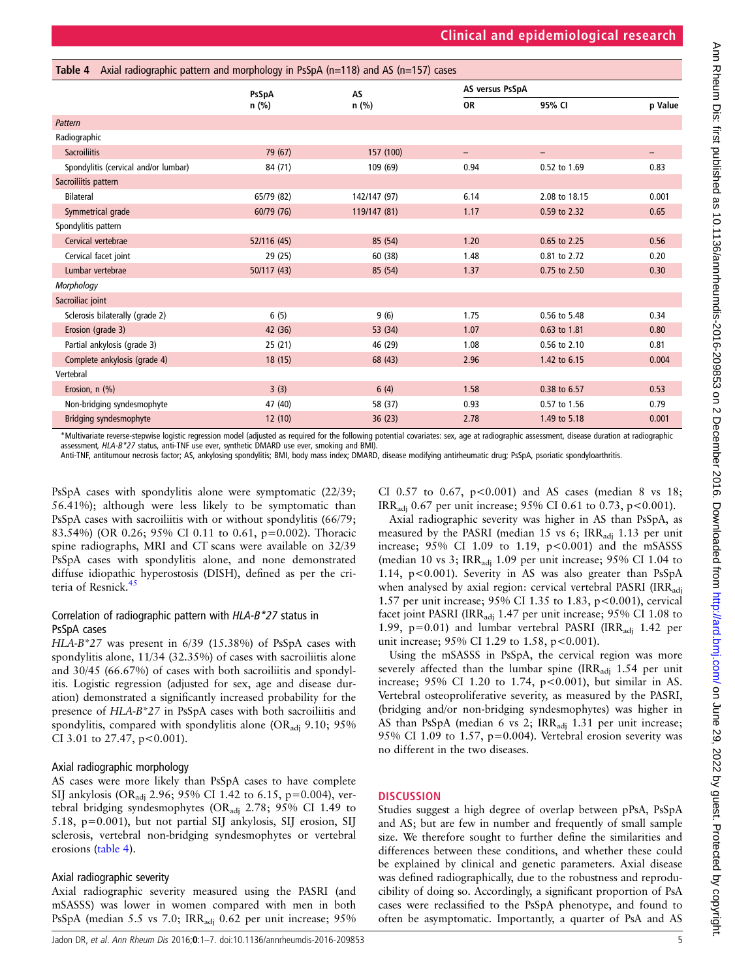<span id="page-4-0"></span>

| Axial radiographic pattern and morphology in PsSpA (n=118) and AS (n=157) cases<br>Table 4 |             |              |           |                   |         |  |  |  |  |
|--------------------------------------------------------------------------------------------|-------------|--------------|-----------|-------------------|---------|--|--|--|--|
|                                                                                            | PsSpA       | <b>AS</b>    |           | AS versus PsSpA   |         |  |  |  |  |
|                                                                                            | n (%)       | n (%)        | <b>OR</b> | 95% CI            | p Value |  |  |  |  |
| Pattern                                                                                    |             |              |           |                   |         |  |  |  |  |
| Radiographic                                                                               |             |              |           |                   |         |  |  |  |  |
| <b>Sacroiliitis</b>                                                                        | 79 (67)     | 157 (100)    | -         | $\qquad \qquad -$ | -       |  |  |  |  |
| Spondylitis (cervical and/or lumbar)                                                       | 84 (71)     | 109 (69)     | 0.94      | 0.52 to 1.69      | 0.83    |  |  |  |  |
| Sacroiliitis pattern                                                                       |             |              |           |                   |         |  |  |  |  |
| <b>Bilateral</b>                                                                           | 65/79 (82)  | 142/147 (97) | 6.14      | 2.08 to 18.15     | 0.001   |  |  |  |  |
| Symmetrical grade                                                                          | 60/79 (76)  | 119/147 (81) | 1.17      | 0.59 to 2.32      | 0.65    |  |  |  |  |
| Spondylitis pattern                                                                        |             |              |           |                   |         |  |  |  |  |
| Cervical vertebrae                                                                         | 52/116 (45) | 85 (54)      | 1.20      | 0.65 to 2.25      | 0.56    |  |  |  |  |
| Cervical facet joint                                                                       | 29 (25)     | 60 (38)      | 1.48      | 0.81 to 2.72      | 0.20    |  |  |  |  |
| Lumbar vertebrae                                                                           | 50/117 (43) | 85 (54)      | 1.37      | 0.75 to 2.50      | 0.30    |  |  |  |  |
| Morphology                                                                                 |             |              |           |                   |         |  |  |  |  |
| Sacroiliac joint                                                                           |             |              |           |                   |         |  |  |  |  |
| Sclerosis bilaterally (grade 2)                                                            | 6(5)        | 9(6)         | 1.75      | 0.56 to 5.48      | 0.34    |  |  |  |  |
| Erosion (grade 3)                                                                          | 42 (36)     | 53 (34)      | 1.07      | 0.63 to 1.81      | 0.80    |  |  |  |  |
| Partial ankylosis (grade 3)                                                                | 25 (21)     | 46 (29)      | 1.08      | 0.56 to 2.10      | 0.81    |  |  |  |  |
| Complete ankylosis (grade 4)                                                               | 18(15)      | 68 (43)      | 2.96      | 1.42 to 6.15      | 0.004   |  |  |  |  |
| Vertebral                                                                                  |             |              |           |                   |         |  |  |  |  |
| Erosion, n (%)                                                                             | 3(3)        | 6(4)         | 1.58      | 0.38 to 6.57      | 0.53    |  |  |  |  |
| Non-bridging syndesmophyte                                                                 | 47 (40)     | 58 (37)      | 0.93      | 0.57 to 1.56      | 0.79    |  |  |  |  |
| <b>Bridging syndesmophyte</b>                                                              | 12(10)      | 36(23)       | 2.78      | 1.49 to 5.18      | 0.001   |  |  |  |  |

\*Multivariate reverse-stepwise logistic regression model (adjusted as required for the following potential covariates: sex, age at radiographic assessment, disease duration at radiographic assessment, HLA-B\*27 status, anti-TNF use ever, synthetic DMARD use ever, smoking and BMI)

Anti-TNF, antitumour necrosis factor; AS, ankylosing spondylitis; BMI, body mass index; DMARD, disease modifying antirheumatic drug; PsSpA, psoriatic spondyloarthritis.

PsSpA cases with spondylitis alone were symptomatic (22/39; 56.41%); although were less likely to be symptomatic than PsSpA cases with sacroiliitis with or without spondylitis (66/79; 83.54%) (OR 0.26; 95% CI 0.11 to 0.61, p=0.002). Thoracic spine radiographs, MRI and CT scans were available on 32/39 PsSpA cases with spondylitis alone, and none demonstrated diffuse idiopathic hyperostosis (DISH), defined as per the cri-teria of Resnick.<sup>[45](#page-6-0)</sup>

# Correlation of radiographic pattern with HLA-B\*27 status in PsSpA cases

HLA-B\*27 was present in 6/39 (15.38%) of PsSpA cases with spondylitis alone, 11/34 (32.35%) of cases with sacroiliitis alone and 30/45 (66.67%) of cases with both sacroiliitis and spondylitis. Logistic regression (adjusted for sex, age and disease duration) demonstrated a significantly increased probability for the presence of HLA-B\*27 in PsSpA cases with both sacroiliitis and spondylitis, compared with spondylitis alone (OR<sub>adi</sub> 9.10; 95%) CI 3.01 to 27.47, p<0.001).

# Axial radiographic morphology

AS cases were more likely than PsSpA cases to have complete SIJ ankylosis (ORadj 2.96; 95% CI 1.42 to 6.15, p=0.004), vertebral bridging syndesmophytes (ORadj 2.78; 95% CI 1.49 to 5.18, p=0.001), but not partial SIJ ankylosis, SIJ erosion, SIJ sclerosis, vertebral non-bridging syndesmophytes or vertebral erosions (table 4).

# Axial radiographic severity

Axial radiographic severity measured using the PASRI (and mSASSS) was lower in women compared with men in both PsSpA (median 5.5 vs 7.0; IRR<sub>adi</sub> 0.62 per unit increase; 95%

Jadon DR, et al. Ann Rheum Dis 2016;0:1-7. doi:10.1136/annrheumdis-2016-209853

CI 0.57 to 0.67,  $p < 0.001$ ) and AS cases (median 8 vs 18; IRR<sub>adi</sub> 0.67 per unit increase; 95% CI 0.61 to 0.73, p<0.001).

Axial radiographic severity was higher in AS than PsSpA, as measured by the PASRI (median 15 vs 6; IRR<sub>adi</sub> 1.13 per unit increase;  $95\%$  CI 1.09 to 1.19,  $p < 0.001$ ) and the mSASSS (median 10 vs 3; IRR<sub>adj</sub> 1.09 per unit increase; 95% CI 1.04 to 1.14, p<0.001). Severity in AS was also greater than PsSpA when analysed by axial region: cervical vertebral PASRI (IRR<sub>adi</sub> 1.57 per unit increase; 95% CI 1.35 to 1.83, p<0.001), cervical facet joint PASRI (IRR<sub>adi</sub> 1.47 per unit increase;  $95\%$  CI 1.08 to 1.99,  $p=0.01$ ) and lumbar vertebral PASRI (IRR<sub>adi</sub> 1.42 per unit increase;  $95\%$  CI 1.29 to 1.58, p<0.001).

Using the mSASSS in PsSpA, the cervical region was more severely affected than the lumbar spine  $\text{IRR}_{\text{adi}}$  1.54 per unit increase; 95% CI 1.20 to 1.74, p<0.001), but similar in AS. Vertebral osteoproliferative severity, as measured by the PASRI, (bridging and/or non-bridging syndesmophytes) was higher in AS than PsSpA (median 6 vs 2; IRR<sub>adi</sub> 1.31 per unit increase; 95% CI 1.09 to 1.57, p=0.004). Vertebral erosion severity was no different in the two diseases.

# **DISCUSSION**

Studies suggest a high degree of overlap between pPsA, PsSpA and AS; but are few in number and frequently of small sample size. We therefore sought to further define the similarities and differences between these conditions, and whether these could be explained by clinical and genetic parameters. Axial disease was defined radiographically, due to the robustness and reproducibility of doing so. Accordingly, a significant proportion of PsA cases were reclassified to the PsSpA phenotype, and found to often be asymptomatic. Importantly, a quarter of PsA and AS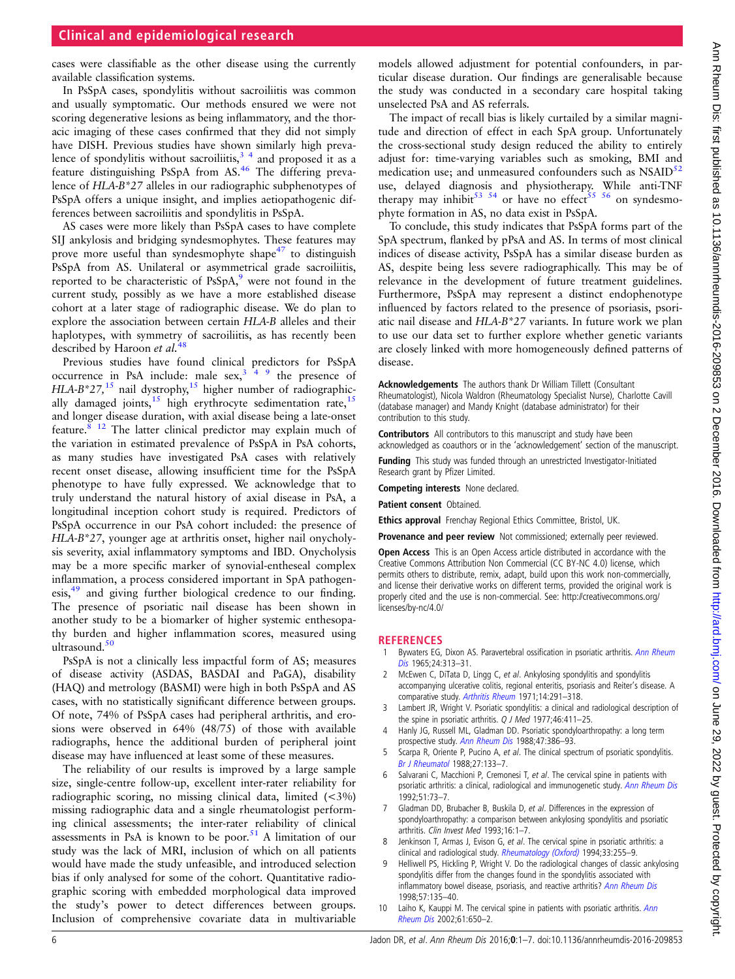# <span id="page-5-0"></span>Clinical and epidemiological research

cases were classifiable as the other disease using the currently available classification systems.

In PsSpA cases, spondylitis without sacroiliitis was common and usually symptomatic. Our methods ensured we were not scoring degenerative lesions as being inflammatory, and the thoracic imaging of these cases confirmed that they did not simply have DISH. Previous studies have shown similarly high prevalence of spondylitis without sacroiliitis,  $3<sup>4</sup>$  and proposed it as a feature distinguishing PsSpA from AS.<sup>46</sup> The differing prevalence of HLA-B\*27 alleles in our radiographic subphenotypes of PsSpA offers a unique insight, and implies aetiopathogenic differences between sacroiliitis and spondylitis in PsSpA.

AS cases were more likely than PsSpA cases to have complete SIJ ankylosis and bridging syndesmophytes. These features may prove more useful than syndesmophyte shape<sup>47</sup> to distinguish PsSpA from AS. Unilateral or asymmetrical grade sacroiliitis, reported to be characteristic of PsSpA,<sup>9</sup> were not found in the current study, possibly as we have a more established disease cohort at a later stage of radiographic disease. We do plan to explore the association between certain HLA-B alleles and their haplotypes, with symmetry of sacroiliitis, as has recently been described by Haroon et al.<sup>[48](#page-6-0)</sup>

Previous studies have found clinical predictors for PsSpA occurrence in PsA include: male  $sex$ ,  $3<sup>49</sup>$  the presence of HLA-B\*27,<sup>[15](#page-6-0)</sup> nail dystrophy,<sup>15</sup> higher number of radiographic-ally damaged joints,<sup>[15](#page-6-0)</sup> high erythrocyte sedimentation rate,<sup>15</sup> and longer disease duration, with axial disease being a late-onset feature. $8^{8}$  [12](#page-6-0) The latter clinical predictor may explain much of the variation in estimated prevalence of PsSpA in PsA cohorts, as many studies have investigated PsA cases with relatively recent onset disease, allowing insufficient time for the PsSpA phenotype to have fully expressed. We acknowledge that to truly understand the natural history of axial disease in PsA, a longitudinal inception cohort study is required. Predictors of PsSpA occurrence in our PsA cohort included: the presence of HLA-B\*27, younger age at arthritis onset, higher nail onycholysis severity, axial inflammatory symptoms and IBD. Onycholysis may be a more specific marker of synovial-entheseal complex inflammation, a process considered important in SpA pathogen-esis,<sup>[49](#page-6-0)</sup> and giving further biological credence to our finding. The presence of psoriatic nail disease has been shown in another study to be a biomarker of higher systemic enthesopathy burden and higher inflammation scores, measured using ultrasound.<sup>50</sup>

PsSpA is not a clinically less impactful form of AS; measures of disease activity (ASDAS, BASDAI and PaGA), disability (HAQ) and metrology (BASMI) were high in both PsSpA and AS cases, with no statistically significant difference between groups. Of note, 74% of PsSpA cases had peripheral arthritis, and erosions were observed in 64% (48/75) of those with available radiographs, hence the additional burden of peripheral joint disease may have influenced at least some of these measures.

The reliability of our results is improved by a large sample size, single-centre follow-up, excellent inter-rater reliability for radiographic scoring, no missing clinical data, limited (<3%) missing radiographic data and a single rheumatologist performing clinical assessments; the inter-rater reliability of clinical assessments in PsA is known to be poor. $51$  A limitation of our study was the lack of MRI, inclusion of which on all patients would have made the study unfeasible, and introduced selection bias if only analysed for some of the cohort. Quantitative radiographic scoring with embedded morphological data improved the study's power to detect differences between groups. Inclusion of comprehensive covariate data in multivariable models allowed adjustment for potential confounders, in particular disease duration. Our findings are generalisable because the study was conducted in a secondary care hospital taking unselected PsA and AS referrals.

The impact of recall bias is likely curtailed by a similar magnitude and direction of effect in each SpA group. Unfortunately the cross-sectional study design reduced the ability to entirely adjust for: time-varying variables such as smoking, BMI and medication use; and unmeasured confounders such as NSAID<sup>[52](#page-6-0)</sup> use, delayed diagnosis and physiotherapy. While anti-TNF therapy may inhibit<sup>53 54</sup> or have no effect<sup>[55 56](#page-6-0)</sup> on syndesmophyte formation in AS, no data exist in PsSpA.

To conclude, this study indicates that PsSpA forms part of the SpA spectrum, flanked by pPsA and AS. In terms of most clinical indices of disease activity, PsSpA has a similar disease burden as AS, despite being less severe radiographically. This may be of relevance in the development of future treatment guidelines. Furthermore, PsSpA may represent a distinct endophenotype influenced by factors related to the presence of psoriasis, psoriatic nail disease and HLA-B\*27 variants. In future work we plan to use our data set to further explore whether genetic variants are closely linked with more homogeneously defined patterns of disease.

Acknowledgements The authors thank Dr William Tillett (Consultant Rheumatologist), Nicola Waldron (Rheumatology Specialist Nurse), Charlotte Cavill (database manager) and Mandy Knight (database administrator) for their contribution to this study.

Contributors All contributors to this manuscript and study have been acknowledged as coauthors or in the 'acknowledgement' section of the manuscript.

Funding This study was funded through an unrestricted Investigator-Initiated Research grant by Pfizer Limited.

Competing interests None declared.

Patient consent Obtained.

Ethics approval Frenchay Regional Ethics Committee, Bristol, UK.

Provenance and peer review Not commissioned; externally peer reviewed.

Open Access This is an Open Access article distributed in accordance with the Creative Commons Attribution Non Commercial (CC BY-NC 4.0) license, which permits others to distribute, remix, adapt, build upon this work non-commercially, and license their derivative works on different terms, provided the original work is properly cited and the use is non-commercial. See: [http://creativecommons.org/](http://creativecommons.org/licenses/by-nc/4.0/) [licenses/by-nc/4.0/](http://creativecommons.org/licenses/by-nc/4.0/)

#### **REFERENCES**

- Bywaters EG, Dixon AS. Paravertebral ossification in psoriatic arthritis. [Ann Rheum](http://dx.doi.org/10.1136/ard.24.4.313) [Dis](http://dx.doi.org/10.1136/ard.24.4.313) 1965;24:313–31.
- McEwen C, DiTata D, Lingg C, et al. Ankylosing spondylitis and spondylitis accompanying ulcerative colitis, regional enteritis, psoriasis and Reiter's disease. A comparative study. [Arthritis Rheum](http://dx.doi.org/10.1002/art.1780140302) 1971;14:291-318.
- 3 Lambert JR, Wright V. Psoriatic spondylitis: a clinical and radiological description of the spine in psoriatic arthritis. Q J Med 1977;46:411-25.
- 4 Hanly JG, Russell ML, Gladman DD. Psoriatic spondyloarthropathy: a long term prospective study. [Ann Rheum Dis](http://dx.doi.org/10.1136/ard.47.5.386) 1988;47:386–93.
- 5 Scarpa R, Oriente P, Pucino A, et al. The clinical spectrum of psoriatic spondylitis. [Br J Rheumatol](http://dx.doi.org/10.1093/rheumatology/27.2.133) 1988;27:133–7.
- 6 Salvarani C, Macchioni P, Cremonesi T, et al. The cervical spine in patients with psoriatic arthritis: a clinical, radiological and immunogenetic study. [Ann Rheum Dis](http://dx.doi.org/10.1136/ard.51.1.73) 1992;51:73–7.
- 7 Gladman DD, Brubacher B, Buskila D, et al. Differences in the expression of spondyloarthropathy: a comparison between ankylosing spondylitis and psoriatic arthritis. Clin Invest Med 1993;16:1–7.
- Jenkinson T, Armas J, Evison G, et al. The cervical spine in psoriatic arthritis: a clinical and radiological study. [Rheumatology \(Oxford\)](http://dx.doi.org/10.1093/rheumatology/33.3.255) 1994;33:255-9.
- 9 Helliwell PS, Hickling P, Wright V. Do the radiological changes of classic ankylosing spondylitis differ from the changes found in the spondylitis associated with inflammatory bowel disease, psoriasis, and reactive arthritis? [Ann Rheum Dis](http://dx.doi.org/10.1136/ard.57.3.135) 1998;57:135–40.
- 10 Laiho K, Kauppi M. The cervical spine in patients with psoriatic arthritis. [Ann](http://dx.doi.org/10.1136/ard.61.7.650) [Rheum Dis](http://dx.doi.org/10.1136/ard.61.7.650) 2002;61:650–2.